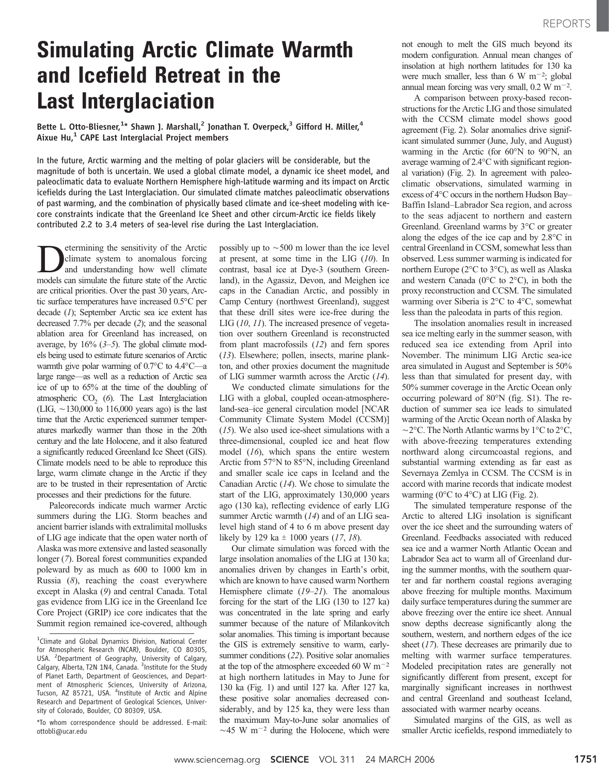## Simulating Arctic Climate Warmth and Icefield Retreat in the Last Interglaciation

Bette L. Otto-Bliesner,<sup>1\*</sup> Shawn J. Marshall,<sup>2</sup> Jonathan T. Overpeck,<sup>3</sup> Gifford H. Miller,<sup>4</sup> Aixue  $Hu,^1$  CAPE Last Interglacial Project members

In the future, Arctic warming and the melting of polar glaciers will be considerable, but the magnitude of both is uncertain. We used a global climate model, a dynamic ice sheet model, and paleoclimatic data to evaluate Northern Hemisphere high-latitude warming and its impact on Arctic icefields during the Last Interglaciation. Our simulated climate matches paleoclimatic observations of past warming, and the combination of physically based climate and ice-sheet modeling with icecore constraints indicate that the Greenland Ice Sheet and other circum-Arctic ice fields likely contributed 2.2 to 3.4 meters of sea-level rise during the Last Interglaciation.

Determining the sensitivity of the Arctic climate system to anomalous forcing and understanding how well climate models can simulate the future state of the Arctic are critical priorities. Over the past 30 years, Arctic surface temperatures have increased 0.5°C per decade (1); September Arctic sea ice extent has decreased 7.7% per decade (2); and the seasonal ablation area for Greenland has increased, on average, by 16% (3–5). The global climate models being used to estimate future scenarios of Arctic warmth give polar warming of  $0.7^{\circ}$ C to  $4.4^{\circ}$ C—a large range—as well as a reduction of Arctic sea ice of up to 65% at the time of the doubling of atmospheric  $CO<sub>2</sub>$  (6). The Last Interglaciation (LIG,  $\sim$ 130,000 to 116,000 years ago) is the last time that the Arctic experienced summer temperatures markedly warmer than those in the 20th century and the late Holocene, and it also featured a significantly reduced Greenland Ice Sheet (GIS). Climate models need to be able to reproduce this large, warm climate change in the Arctic if they are to be trusted in their representation of Arctic processes and their predictions for the future.

Paleorecords indicate much warmer Arctic summers during the LIG. Storm beaches and ancient barrier islands with extralimital mollusks of LIG age indicate that the open water north of Alaska was more extensive and lasted seasonally longer (7). Boreal forest communities expanded poleward by as much as 600 to 1000 km in Russia  $(8)$ , reaching the coast everywhere except in Alaska (9) and central Canada. Total gas evidence from LIG ice in the Greenland Ice Core Project (GRIP) ice core indicates that the Summit region remained ice-covered, although possibly up to  $\sim$  500 m lower than the ice level at present, at some time in the LIG  $(10)$ . In contrast, basal ice at Dye-3 (southern Greenland), in the Agassiz, Devon, and Meighen ice caps in the Canadian Arctic, and possibly in Camp Century (northwest Greenland), suggest that these drill sites were ice-free during the LIG (10, 11). The increased presence of vegetation over southern Greenland is reconstructed from plant macrofossils (12) and fern spores (13). Elsewhere; pollen, insects, marine plankton, and other proxies document the magnitude of LIG summer warmth across the Arctic (14).

We conducted climate simulations for the LIG with a global, coupled ocean-atmosphereland-sea-ice general circulation model [NCAR Community Climate System Model (CCSM)^ (15). We also used ice-sheet simulations with a three-dimensional, coupled ice and heat flow model (16), which spans the entire western Arctic from 57°N to 85°N, including Greenland and smaller scale ice caps in Iceland and the Canadian Arctic (14). We chose to simulate the start of the LIG, approximately 130,000 years ago (130 ka), reflecting evidence of early LIG summer Arctic warmth (14) and of an LIG sealevel high stand of 4 to 6 m above present day likely by 129 ka  $\pm$  1000 years (17, 18).

Our climate simulation was forced with the large insolation anomalies of the LIG at 130 ka; anomalies driven by changes in Earth's orbit, which are known to have caused warm Northern Hemisphere climate (19–21). The anomalous forcing for the start of the LIG (130 to 127 ka) was concentrated in the late spring and early summer because of the nature of Milankovitch solar anomalies. This timing is important because the GIS is extremely sensitive to warm, earlysummer conditions (22). Positive solar anomalies at the top of the atmosphere exceeded 60 W  $\rm m^{-2}$ at high northern latitudes in May to June for 130 ka (Fig. 1) and until 127 ka. After 127 ka, these positive solar anomalies decreased considerably, and by 125 ka, they were less than the maximum May-to-June solar anomalies of  $\sim$ 45 W m<sup>-2</sup> during the Holocene, which were not enough to melt the GIS much beyond its modern configuration. Annual mean changes of insolation at high northern latitudes for 130 ka were much smaller, less than 6 W m<sup>-2</sup>; global annual mean forcing was very small,  $0.2 \text{ W m}^{-2}$ .

A comparison between proxy-based reconstructions for the Arctic LIG and those simulated with the CCSM climate model shows good agreement (Fig. 2). Solar anomalies drive significant simulated summer (June, July, and August) warming in the Arctic (for  $60^{\circ}$ N to  $90^{\circ}$ N, an average warming of  $2.4^{\circ}$ C with significant regional variation) (Fig. 2). In agreement with paleoclimatic observations, simulated warming in excess of  $4^{\circ}$ C occurs in the northern Hudson Bay– Baffin Island–Labrador Sea region, and across to the seas adjacent to northern and eastern Greenland. Greenland warms by  $3^{\circ}$ C or greater along the edges of the ice cap and by  $2.8^{\circ}$ C in central Greenland in CCSM, somewhat less than observed. Less summer warming is indicated for northern Europe ( $2^{\circ}$ C to  $3^{\circ}$ C), as well as Alaska and western Canada ( $0^{\circ}$ C to  $2^{\circ}$ C), in both the proxy reconstruction and CCSM. The simulated warming over Siberia is  $2^{\circ}$ C to  $4^{\circ}$ C, somewhat less than the paleodata in parts of this region.

The insolation anomalies result in increased sea ice melting early in the summer season, with reduced sea ice extending from April into November. The minimum LIG Arctic sea-ice area simulated in August and September is 50% less than that simulated for present day, with 50% summer coverage in the Arctic Ocean only occurring poleward of 80°N (fig. S1). The reduction of summer sea ice leads to simulated warming of the Arctic Ocean north of Alaska by  $\sim$ 2 $\rm ^{\circ}C$ . The North Atlantic warms by 1 $\rm ^{\circ}C$  to 2 $\rm ^{\circ}C$ , with above-freezing temperatures extending northward along circumcoastal regions, and substantial warming extending as far east as Severnaya Zemlya in CCSM. The CCSM is in accord with marine records that indicate modest warming ( $0^{\circ}$ C to  $4^{\circ}$ C) at LIG (Fig. 2).

The simulated temperature response of the Arctic to altered LIG insolation is significant over the ice sheet and the surrounding waters of Greenland. Feedbacks associated with reduced sea ice and a warmer North Atlantic Ocean and Labrador Sea act to warm all of Greenland during the summer months, with the southern quarter and far northern coastal regions averaging above freezing for multiple months. Maximum daily surface temperatures during the summer are above freezing over the entire ice sheet. Annual snow depths decrease significantly along the southern, western, and northern edges of the ice sheet (17). These decreases are primarily due to melting with warmer surface temperatures. Modeled precipitation rates are generally not significantly different from present, except for marginally significant increases in northwest and central Greenland and southeast Iceland, associated with warmer nearby oceans.

Simulated margins of the GIS, as well as smaller Arctic icefields, respond immediately to

<sup>&</sup>lt;sup>1</sup>Climate and Global Dynamics Division, National Center for Atmospheric Research (NCAR), Boulder, CO 80305, USA. <sup>2</sup> Department of Geography, University of Calgary,<br>Calgary, Alberta, T2N 1N4, Canada. <sup>3</sup>Institute for the Study of Planet Earth, Department of Geosciences, and Department of Atmospheric Sciences, University of Arizona, Tucson, AZ 85721, USA. <sup>4</sup>Institute of Arctic and Alpine Research and Department of Geological Sciences, University of Colorado, Boulder, CO 80309, USA.

<sup>\*</sup>To whom correspondence should be addressed. E-mail: ottobli@ucar.edu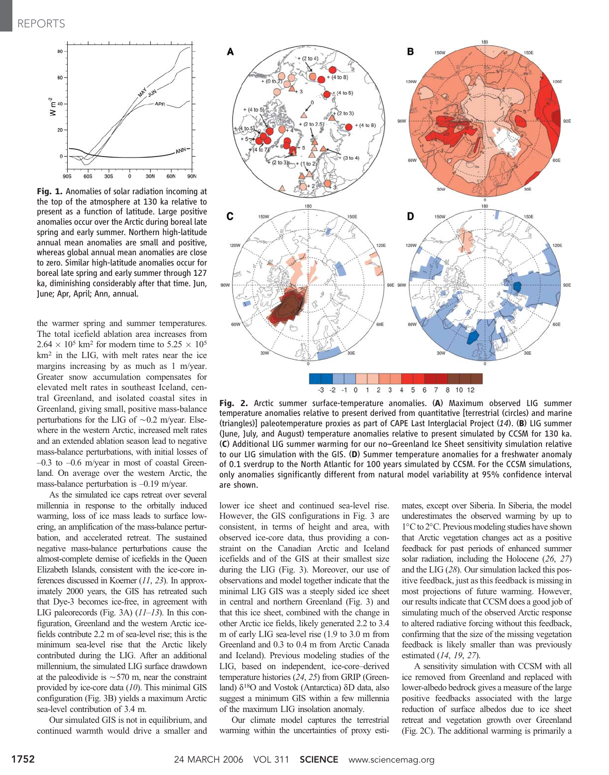

Fig. 1. Anomalies of solar radiation incoming at the top of the atmosphere at 130 ka relative to present as a function of latitude. Large positive anomalies occur over the Arctic during boreal late spring and early summer. Northern high-latitude annual mean anomalies are small and positive, whereas global annual mean anomalies are close to zero. Similar high-latitude anomalies occur for boreal late spring and early summer through 127 ka, diminishing considerably after that time. Jun, June; Apr, April; Ann, annual.

the warmer spring and summer temperatures. The total icefield ablation area increases from  $2.64 \times 10^5$  km<sup>2</sup> for modern time to  $5.25 \times 10^5$ km2 in the LIG, with melt rates near the ice margins increasing by as much as 1 m/year. Greater snow accumulation compensates for elevated melt rates in southeast Iceland, central Greenland, and isolated coastal sites in Greenland, giving small, positive mass-balance perturbations for the LIG of  $\sim 0.2$  m/year. Elsewhere in the western Arctic, increased melt rates and an extended ablation season lead to negative mass-balance perturbations, with initial losses of  $-0.3$  to  $-0.6$  m/year in most of coastal Greenland. On average over the western Arctic, the mass-balance perturbation is –0.19 m/year.

As the simulated ice caps retreat over several millennia in response to the orbitally induced warming, loss of ice mass leads to surface lowering, an amplification of the mass-balance perturbation, and accelerated retreat. The sustained negative mass-balance perturbations cause the almost-complete demise of icefields in the Queen Elizabeth Islands, consistent with the ice-core inferences discussed in Koerner (11, 23). In approximately 2000 years, the GIS has retreated such that Dye-3 becomes ice-free, in agreement with LIG paleorecords (Fig. 3A)  $(11-13)$ . In this configuration, Greenland and the western Arctic icefields contribute 2.2 m of sea-level rise; this is the minimum sea-level rise that the Arctic likely contributed during the LIG. After an additional millennium, the simulated LIG surface drawdown at the paleodivide is  $\sim$  570 m, near the constraint provided by ice-core data (10). This minimal GIS configuration (Fig. 3B) yields a maximum Arctic sea-level contribution of 3.4 m.

Our simulated GIS is not in equilibrium, and continued warmth would drive a smaller and



Fig. 2. Arctic summer surface-temperature anomalies. (A) Maximum observed LIG summer temperature anomalies relative to present derived from quantitative [terrestrial (circles) and marine (triangles)] paleotemperature proxies as part of CAPE Last Interglacial Project  $(14)$ . (B) LIG summer (June, July, and August) temperature anomalies relative to present simulated by CCSM for 130 ka. (C) Additional LIG summer warming for our no–Greenland Ice Sheet sensitivity simulation relative to our LIG simulation with the GIS. (D) Summer temperature anomalies for a freshwater anomaly of 0.1 sverdrup to the North Atlantic for 100 years simulated by CCSM. For the CCSM simulations, only anomalies significantly different from natural model variability at 95% confidence interval are shown.

lower ice sheet and continued sea-level rise. However, the GIS configurations in Fig. 3 are consistent, in terms of height and area, with observed ice-core data, thus providing a constraint on the Canadian Arctic and Iceland icefields and of the GIS at their smallest size during the LIG (Fig. 3). Moreover, our use of observations and model together indicate that the minimal LIG GIS was a steeply sided ice sheet in central and northern Greenland (Fig. 3) and that this ice sheet, combined with the change in other Arctic ice fields, likely generated 2.2 to 3.4 m of early LIG sea-level rise (1.9 to 3.0 m from Greenland and 0.3 to 0.4 m from Arctic Canada and Iceland). Previous modeling studies of the LIG, based on independent, ice-core–derived temperature histories (24, 25) from GRIP (Greenland)  $\delta^{18}$ O and Vostok (Antarctica)  $\delta$ D data, also suggest a minimum GIS within a few millennia of the maximum LIG insolation anomaly.

Our climate model captures the terrestrial warming within the uncertainties of proxy estimates, except over Siberia. In Siberia, the model underestimates the observed warming by up to 1°C to 2°C. Previous modeling studies have shown that Arctic vegetation changes act as a positive feedback for past periods of enhanced summer solar radiation, including the Holocene (26, 27) and the LIG (28). Our simulation lacked this positive feedback, just as this feedback is missing in most projections of future warming. However, our results indicate that CCSM does a good job of simulating much of the observed Arctic response to altered radiative forcing without this feedback, confirming that the size of the missing vegetation feedback is likely smaller than was previously estimated (14, 19, 27).

A sensitivity simulation with CCSM with all ice removed from Greenland and replaced with lower-albedo bedrock gives a measure of the large positive feedbacks associated with the large reduction of surface albedos due to ice sheet retreat and vegetation growth over Greenland (Fig. 2C). The additional warming is primarily a